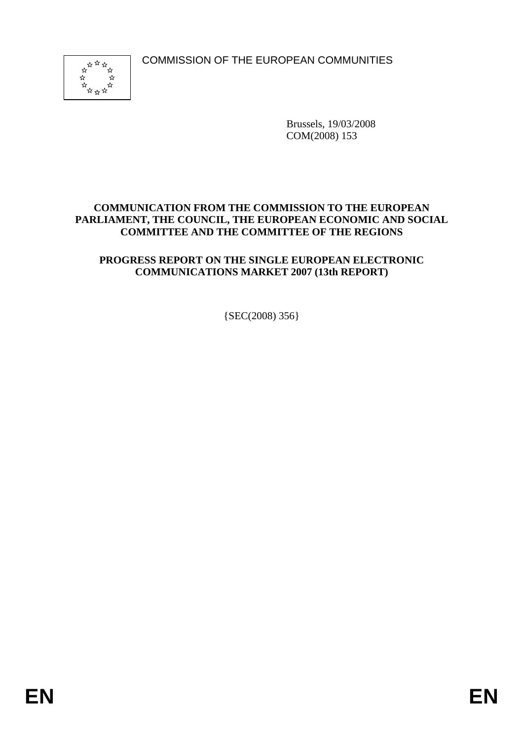COMMISSION OF THE EUROPEAN COMMUNITIES



Brussels, 19/03/2008 COM(2008) 153

#### **COMMUNICATION FROM THE COMMISSION TO THE EUROPEAN PARLIAMENT, THE COUNCIL, THE EUROPEAN ECONOMIC AND SOCIAL COMMITTEE AND THE COMMITTEE OF THE REGIONS**

#### **PROGRESS REPORT ON THE SINGLE EUROPEAN ELECTRONIC COMMUNICATIONS MARKET 2007 (13th REPORT)**

{SEC(2008) 356}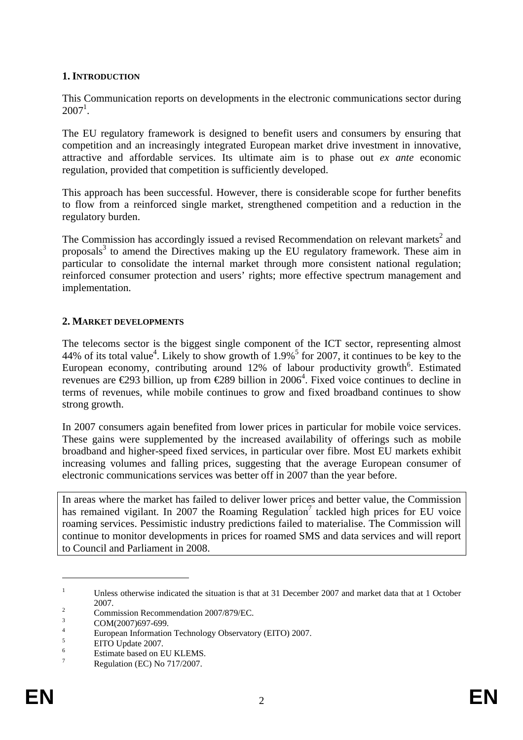## **1. INTRODUCTION**

This Communication reports on developments in the electronic communications sector during  $2007<sup>1</sup>$ .

The EU regulatory framework is designed to benefit users and consumers by ensuring that competition and an increasingly integrated European market drive investment in innovative, attractive and affordable services. Its ultimate aim is to phase out *ex ante* economic regulation, provided that competition is sufficiently developed.

This approach has been successful. However, there is considerable scope for further benefits to flow from a reinforced single market, strengthened competition and a reduction in the regulatory burden.

The Commission has accordingly issued a revised Recommendation on relevant markets<sup>2</sup> and proposals<sup>3</sup> to amend the Directives making up the EU regulatory framework. These aim in particular to consolidate the internal market through more consistent national regulation; reinforced consumer protection and users' rights; more effective spectrum management and implementation.

#### **2. MARKET DEVELOPMENTS**

The telecoms sector is the biggest single component of the ICT sector, representing almost 44% of its total value<sup>4</sup>. Likely to show growth of 1.9%<sup>5</sup> for 2007, it continues to be key to the European economy, contributing around 12% of labour productivity growth<sup>6</sup>. Estimated revenues are  $\epsilon$ 293 billion, up from  $\epsilon$ 289 billion in 2006<sup>4</sup>. Fixed voice continues to decline in terms of revenues, while mobile continues to grow and fixed broadband continues to show strong growth.

In 2007 consumers again benefited from lower prices in particular for mobile voice services. These gains were supplemented by the increased availability of offerings such as mobile broadband and higher-speed fixed services, in particular over fibre. Most EU markets exhibit increasing volumes and falling prices, suggesting that the average European consumer of electronic communications services was better off in 2007 than the year before.

In areas where the market has failed to deliver lower prices and better value, the Commission has remained vigilant. In 2007 the Roaming Regulation<sup>7</sup> tackled high prices for EU voice roaming services. Pessimistic industry predictions failed to materialise. The Commission will continue to monitor developments in prices for roamed SMS and data services and will report to Council and Parliament in 2008.

<u>.</u>

<sup>1</sup> Unless otherwise indicated the situation is that at 31 December 2007 and market data that at 1 October 2007. 2 Commission Recommendation 2007/879/EC.

<sup>3</sup> COM(2007)697-699.

<sup>4</sup> European Information Technology Observatory (EITO) 2007.

EITO Update 2007.

<sup>6</sup> Estimate based on EU KLEMS.

<sup>7</sup> Regulation (EC) No 717/2007.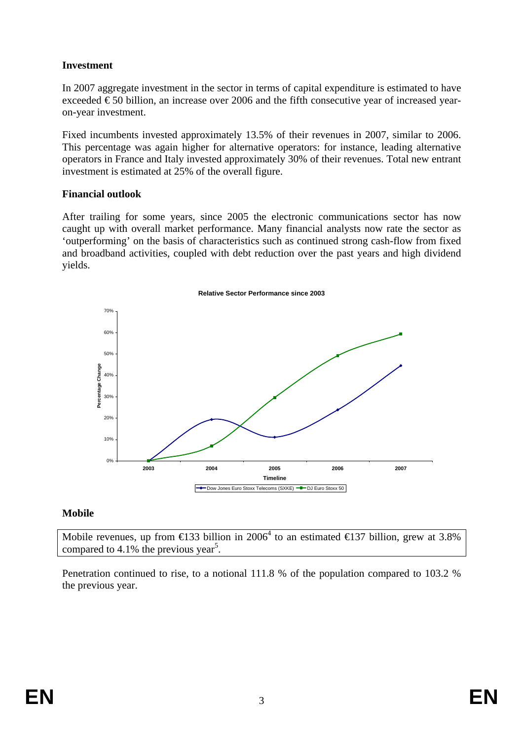#### **Investment**

In 2007 aggregate investment in the sector in terms of capital expenditure is estimated to have exceeded  $\epsilon$ 50 billion, an increase over 2006 and the fifth consecutive year of increased yearon-year investment.

Fixed incumbents invested approximately 13.5% of their revenues in 2007, similar to 2006. This percentage was again higher for alternative operators: for instance, leading alternative operators in France and Italy invested approximately 30% of their revenues. Total new entrant investment is estimated at 25% of the overall figure.

#### **Financial outlook**

After trailing for some years, since 2005 the electronic communications sector has now caught up with overall market performance. Many financial analysts now rate the sector as 'outperforming' on the basis of characteristics such as continued strong cash-flow from fixed and broadband activities, coupled with debt reduction over the past years and high dividend yields.



#### **Mobile**

Mobile revenues, up from  $\text{\textsterling}33$  billion in 2006<sup>4</sup> to an estimated  $\text{\textsterling}37$  billion, grew at 3.8% compared to 4.1% the previous year<sup>5</sup>.

Penetration continued to rise, to a notional 111.8 % of the population compared to 103.2 % the previous year.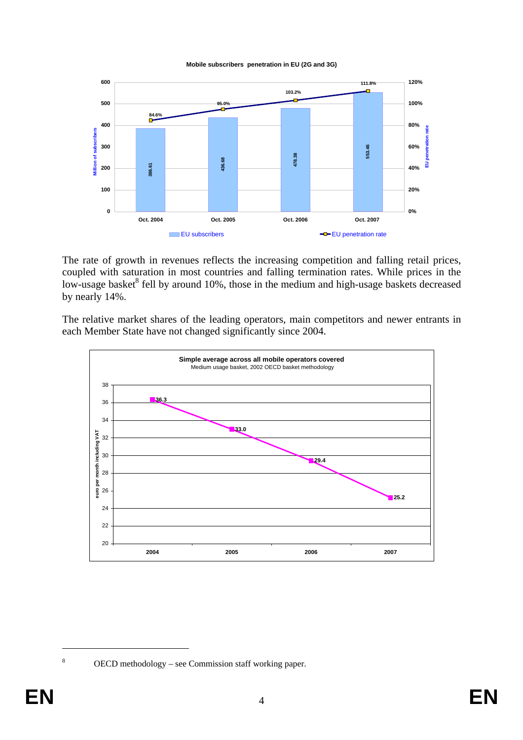



The rate of growth in revenues reflects the increasing competition and falling retail prices, coupled with saturation in most countries and falling termination rates. While prices in the low-usage basket<sup>8</sup> fell by around 10%, those in the medium and high-usage baskets decreased by nearly 14%.

The relative market shares of the leading operators, main competitors and newer entrants in each Member State have not changed significantly since 2004.



1 8

OECD methodology – see Commission staff working paper.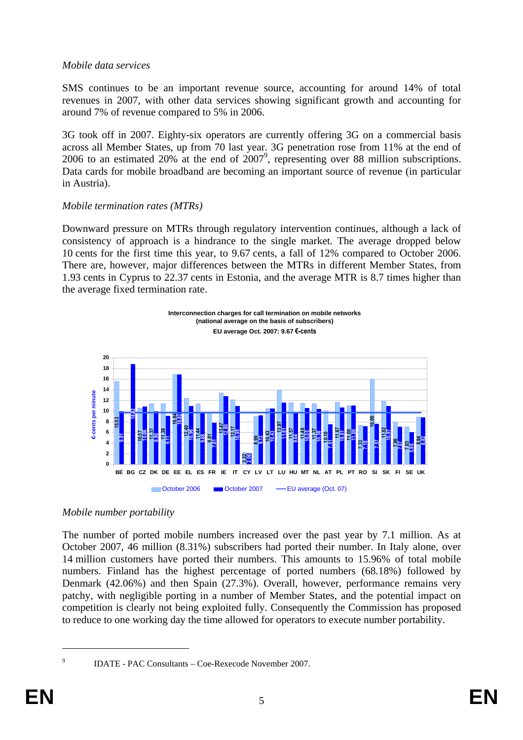## *Mobile data services*

SMS continues to be an important revenue source, accounting for around 14% of total revenues in 2007, with other data services showing significant growth and accounting for around 7% of revenue compared to 5% in 2006.

3G took off in 2007. Eighty-six operators are currently offering 3G on a commercial basis across all Member States, up from 70 last year. 3G penetration rose from 11% at the end of 2006 to an estimated 20% at the end of  $2007^9$ , representing over 88 million subscriptions. Data cards for mobile broadband are becoming an important source of revenue (in particular in Austria).

#### *Mobile termination rates (MTRs)*

Downward pressure on MTRs through regulatory intervention continues, although a lack of consistency of approach is a hindrance to the single market. The average dropped below 10 cents for the first time this year, to 9.67 cents, a fall of 12% compared to October 2006. There are, however, major differences between the MTRs in different Member States, from 1.93 cents in Cyprus to 22.37 cents in Estonia, and the average MTR is 8.7 times higher than the average fixed termination rate.



#### *Mobile number portability*

The number of ported mobile numbers increased over the past year by 7.1 million. As at October 2007, 46 million (8.31%) subscribers had ported their number. In Italy alone, over 14 million customers have ported their numbers. This amounts to 15.96% of total mobile numbers. Finland has the highest percentage of ported numbers (68.18%) followed by Denmark (42.06%) and then Spain (27.3%). Overall, however, performance remains very patchy, with negligible porting in a number of Member States, and the potential impact on competition is clearly not being exploited fully. Consequently the Commission has proposed to reduce to one working day the time allowed for operators to execute number portability.

<sup>1</sup> 9

IDATE - PAC Consultants – Coe-Rexecode November 2007.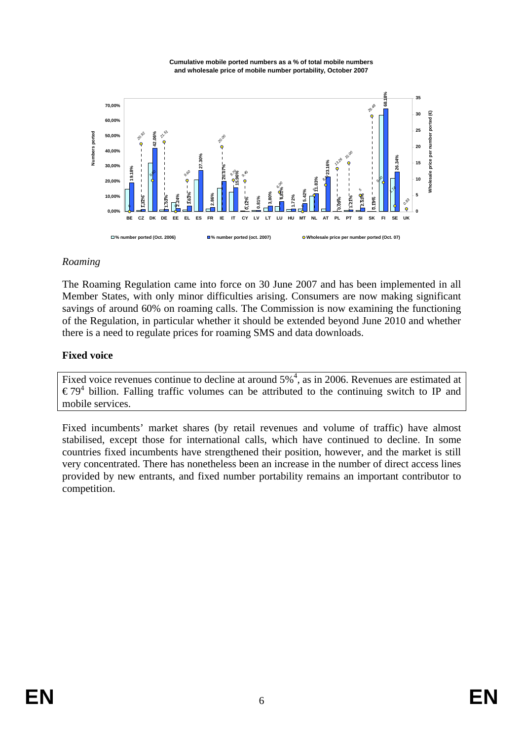**Cumulative mobile ported numbers as a % of total mobile numbers and wholesale price of mobile number portability, October 2007**



#### *Roaming*

The Roaming Regulation came into force on 30 June 2007 and has been implemented in all Member States, with only minor difficulties arising. Consumers are now making significant savings of around 60% on roaming calls. The Commission is now examining the functioning of the Regulation, in particular whether it should be extended beyond June 2010 and whether there is a need to regulate prices for roaming SMS and data downloads.

#### **Fixed voice**

Fixed voice revenues continue to decline at around  $5\%$ <sup>4</sup>, as in 2006. Revenues are estimated at  $\epsilon$  79<sup>4</sup> billion. Falling traffic volumes can be attributed to the continuing switch to IP and mobile services.

Fixed incumbents' market shares (by retail revenues and volume of traffic) have almost stabilised, except those for international calls, which have continued to decline. In some countries fixed incumbents have strengthened their position, however, and the market is still very concentrated. There has nonetheless been an increase in the number of direct access lines provided by new entrants, and fixed number portability remains an important contributor to competition.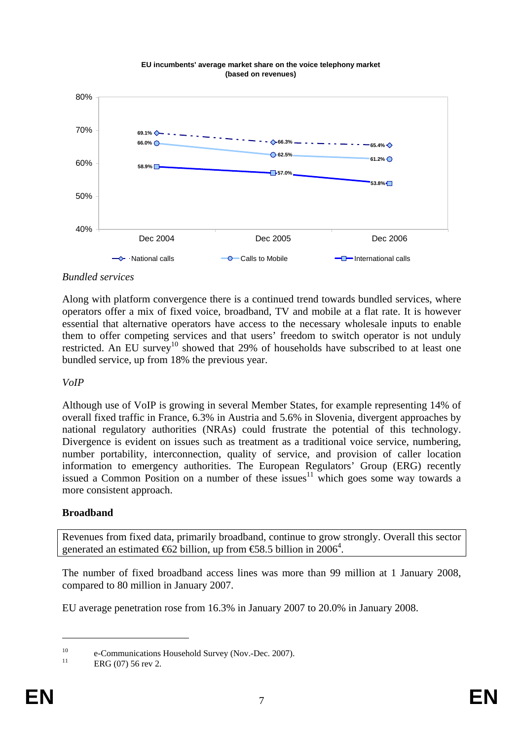

#### **EU incumbents' average market share on the voice telephony market (based on revenues)**

#### *Bundled services*

Along with platform convergence there is a continued trend towards bundled services, where operators offer a mix of fixed voice, broadband, TV and mobile at a flat rate. It is however essential that alternative operators have access to the necessary wholesale inputs to enable them to offer competing services and that users' freedom to switch operator is not unduly restricted. An EU survey<sup>10</sup> showed that 29% of households have subscribed to at least one bundled service, up from 18% the previous year.

*VoIP* 

Although use of VoIP is growing in several Member States, for example representing 14% of overall fixed traffic in France, 6.3% in Austria and 5.6% in Slovenia, divergent approaches by national regulatory authorities (NRAs) could frustrate the potential of this technology. Divergence is evident on issues such as treatment as a traditional voice service, numbering, number portability, interconnection, quality of service, and provision of caller location information to emergency authorities. The European Regulators' Group (ERG) recently issued a Common Position on a number of these issues<sup>11</sup> which goes some way towards a more consistent approach.

#### **Broadband**

Revenues from fixed data, primarily broadband, continue to grow strongly. Overall this sector generated an estimated  $\bigoplus$  billion, up from  $\bigoplus$ 8.5 billion in 2006<sup>4</sup>.

The number of fixed broadband access lines was more than 99 million at 1 January 2008, compared to 80 million in January 2007.

EU average penetration rose from 16.3% in January 2007 to 20.0% in January 2008.

<u>.</u>

<sup>&</sup>lt;sup>10</sup> e-Communications Household Survey (Nov.-Dec. 2007).

ERG (07) 56 rev 2.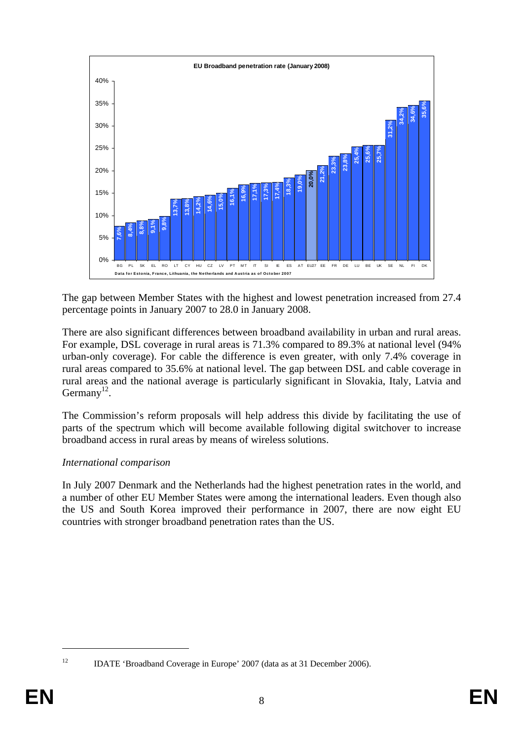

The gap between Member States with the highest and lowest penetration increased from 27.4 percentage points in January 2007 to 28.0 in January 2008.

There are also significant differences between broadband availability in urban and rural areas. For example, DSL coverage in rural areas is 71.3% compared to 89.3% at national level (94% urban-only coverage). For cable the difference is even greater, with only 7.4% coverage in rural areas compared to 35.6% at national level. The gap between DSL and cable coverage in rural areas and the national average is particularly significant in Slovakia, Italy, Latvia and Germany<sup>12</sup>.

The Commission's reform proposals will help address this divide by facilitating the use of parts of the spectrum which will become available following digital switchover to increase broadband access in rural areas by means of wireless solutions.

## *International comparison*

In July 2007 Denmark and the Netherlands had the highest penetration rates in the world, and a number of other EU Member States were among the international leaders. Even though also the US and South Korea improved their performance in 2007, there are now eight EU countries with stronger broadband penetration rates than the US.

<sup>1</sup> 

<sup>&</sup>lt;sup>12</sup> IDATE 'Broadband Coverage in Europe' 2007 (data as at 31 December 2006).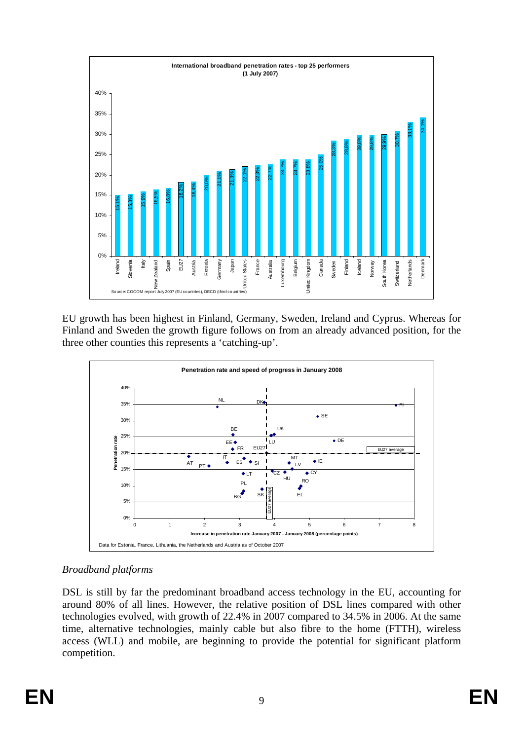

EU growth has been highest in Finland, Germany, Sweden, Ireland and Cyprus. Whereas for Finland and Sweden the growth figure follows on from an already advanced position, for the three other counties this represents a 'catching-up'.



# *Broadband platforms*

DSL is still by far the predominant broadband access technology in the EU, accounting for around 80% of all lines. However, the relative position of DSL lines compared with other technologies evolved, with growth of 22.4% in 2007 compared to 34.5% in 2006. At the same time, alternative technologies, mainly cable but also fibre to the home (FTTH), wireless access (WLL) and mobile, are beginning to provide the potential for significant platform competition.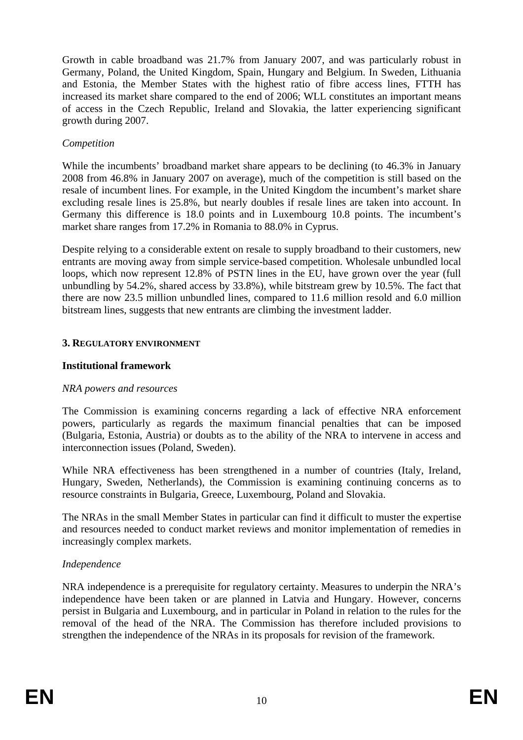Growth in cable broadband was 21.7% from January 2007, and was particularly robust in Germany, Poland, the United Kingdom, Spain, Hungary and Belgium. In Sweden, Lithuania and Estonia, the Member States with the highest ratio of fibre access lines, FTTH has increased its market share compared to the end of 2006; WLL constitutes an important means of access in the Czech Republic, Ireland and Slovakia, the latter experiencing significant growth during 2007.

## *Competition*

While the incumbents' broadband market share appears to be declining (to 46.3% in January 2008 from 46.8% in January 2007 on average), much of the competition is still based on the resale of incumbent lines. For example, in the United Kingdom the incumbent's market share excluding resale lines is 25.8%, but nearly doubles if resale lines are taken into account. In Germany this difference is 18.0 points and in Luxembourg 10.8 points. The incumbent's market share ranges from 17.2% in Romania to 88.0% in Cyprus.

Despite relying to a considerable extent on resale to supply broadband to their customers, new entrants are moving away from simple service-based competition. Wholesale unbundled local loops, which now represent 12.8% of PSTN lines in the EU, have grown over the year (full unbundling by 54.2%, shared access by 33.8%), while bitstream grew by 10.5%. The fact that there are now 23.5 million unbundled lines, compared to 11.6 million resold and 6.0 million bitstream lines, suggests that new entrants are climbing the investment ladder.

## **3. REGULATORY ENVIRONMENT**

# **Institutional framework**

# *NRA powers and resources*

The Commission is examining concerns regarding a lack of effective NRA enforcement powers, particularly as regards the maximum financial penalties that can be imposed (Bulgaria, Estonia, Austria) or doubts as to the ability of the NRA to intervene in access and interconnection issues (Poland, Sweden).

While NRA effectiveness has been strengthened in a number of countries (Italy, Ireland, Hungary, Sweden, Netherlands), the Commission is examining continuing concerns as to resource constraints in Bulgaria, Greece, Luxembourg, Poland and Slovakia.

The NRAs in the small Member States in particular can find it difficult to muster the expertise and resources needed to conduct market reviews and monitor implementation of remedies in increasingly complex markets.

# *Independence*

NRA independence is a prerequisite for regulatory certainty. Measures to underpin the NRA's independence have been taken or are planned in Latvia and Hungary. However, concerns persist in Bulgaria and Luxembourg, and in particular in Poland in relation to the rules for the removal of the head of the NRA. The Commission has therefore included provisions to strengthen the independence of the NRAs in its proposals for revision of the framework.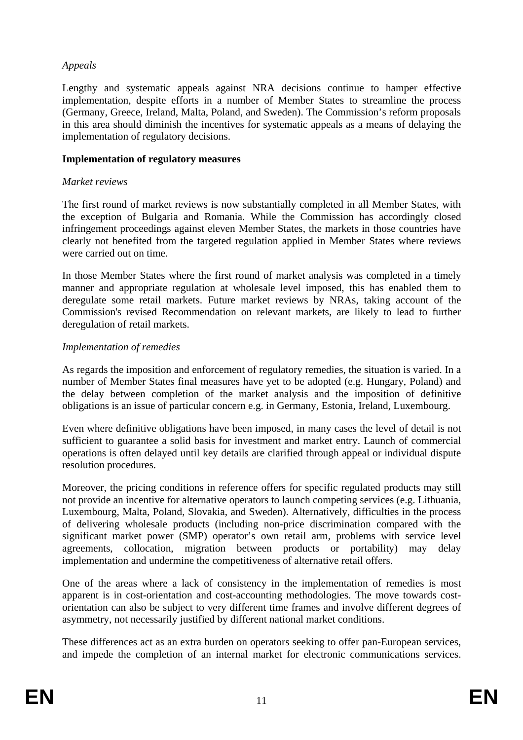## *Appeals*

Lengthy and systematic appeals against NRA decisions continue to hamper effective implementation, despite efforts in a number of Member States to streamline the process (Germany, Greece, Ireland, Malta, Poland, and Sweden). The Commission's reform proposals in this area should diminish the incentives for systematic appeals as a means of delaying the implementation of regulatory decisions.

## **Implementation of regulatory measures**

## *Market reviews*

The first round of market reviews is now substantially completed in all Member States, with the exception of Bulgaria and Romania. While the Commission has accordingly closed infringement proceedings against eleven Member States, the markets in those countries have clearly not benefited from the targeted regulation applied in Member States where reviews were carried out on time.

In those Member States where the first round of market analysis was completed in a timely manner and appropriate regulation at wholesale level imposed, this has enabled them to deregulate some retail markets. Future market reviews by NRAs, taking account of the Commission's revised Recommendation on relevant markets, are likely to lead to further deregulation of retail markets.

## *Implementation of remedies*

As regards the imposition and enforcement of regulatory remedies, the situation is varied. In a number of Member States final measures have yet to be adopted (e.g. Hungary, Poland) and the delay between completion of the market analysis and the imposition of definitive obligations is an issue of particular concern e.g. in Germany, Estonia, Ireland, Luxembourg.

Even where definitive obligations have been imposed, in many cases the level of detail is not sufficient to guarantee a solid basis for investment and market entry. Launch of commercial operations is often delayed until key details are clarified through appeal or individual dispute resolution procedures.

Moreover, the pricing conditions in reference offers for specific regulated products may still not provide an incentive for alternative operators to launch competing services (e.g. Lithuania, Luxembourg, Malta, Poland, Slovakia, and Sweden). Alternatively, difficulties in the process of delivering wholesale products (including non-price discrimination compared with the significant market power (SMP) operator's own retail arm, problems with service level agreements, collocation, migration between products or portability) may delay implementation and undermine the competitiveness of alternative retail offers.

One of the areas where a lack of consistency in the implementation of remedies is most apparent is in cost-orientation and cost-accounting methodologies. The move towards costorientation can also be subject to very different time frames and involve different degrees of asymmetry, not necessarily justified by different national market conditions.

These differences act as an extra burden on operators seeking to offer pan-European services, and impede the completion of an internal market for electronic communications services.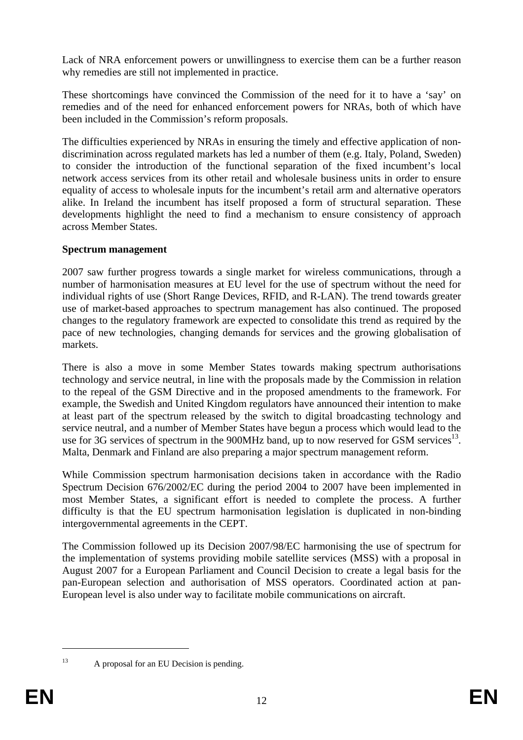Lack of NRA enforcement powers or unwillingness to exercise them can be a further reason why remedies are still not implemented in practice.

These shortcomings have convinced the Commission of the need for it to have a 'say' on remedies and of the need for enhanced enforcement powers for NRAs, both of which have been included in the Commission's reform proposals.

The difficulties experienced by NRAs in ensuring the timely and effective application of nondiscrimination across regulated markets has led a number of them (e.g. Italy, Poland, Sweden) to consider the introduction of the functional separation of the fixed incumbent's local network access services from its other retail and wholesale business units in order to ensure equality of access to wholesale inputs for the incumbent's retail arm and alternative operators alike. In Ireland the incumbent has itself proposed a form of structural separation. These developments highlight the need to find a mechanism to ensure consistency of approach across Member States.

## **Spectrum management**

2007 saw further progress towards a single market for wireless communications, through a number of harmonisation measures at EU level for the use of spectrum without the need for individual rights of use (Short Range Devices, RFID, and R-LAN). The trend towards greater use of market-based approaches to spectrum management has also continued. The proposed changes to the regulatory framework are expected to consolidate this trend as required by the pace of new technologies, changing demands for services and the growing globalisation of markets.

There is also a move in some Member States towards making spectrum authorisations technology and service neutral, in line with the proposals made by the Commission in relation to the repeal of the GSM Directive and in the proposed amendments to the framework. For example, the Swedish and United Kingdom regulators have announced their intention to make at least part of the spectrum released by the switch to digital broadcasting technology and service neutral, and a number of Member States have begun a process which would lead to the use for 3G services of spectrum in the 900MHz band, up to now reserved for GSM services<sup>13</sup>. Malta, Denmark and Finland are also preparing a major spectrum management reform.

While Commission spectrum harmonisation decisions taken in accordance with the Radio Spectrum Decision 676/2002/EC during the period 2004 to 2007 have been implemented in most Member States, a significant effort is needed to complete the process. A further difficulty is that the EU spectrum harmonisation legislation is duplicated in non-binding intergovernmental agreements in the CEPT.

The Commission followed up its Decision 2007/98/EC harmonising the use of spectrum for the implementation of systems providing mobile satellite services (MSS) with a proposal in August 2007 for a European Parliament and Council Decision to create a legal basis for the pan-European selection and authorisation of MSS operators. Coordinated action at pan-European level is also under way to facilitate mobile communications on aircraft.

1

<sup>&</sup>lt;sup>13</sup> A proposal for an EU Decision is pending.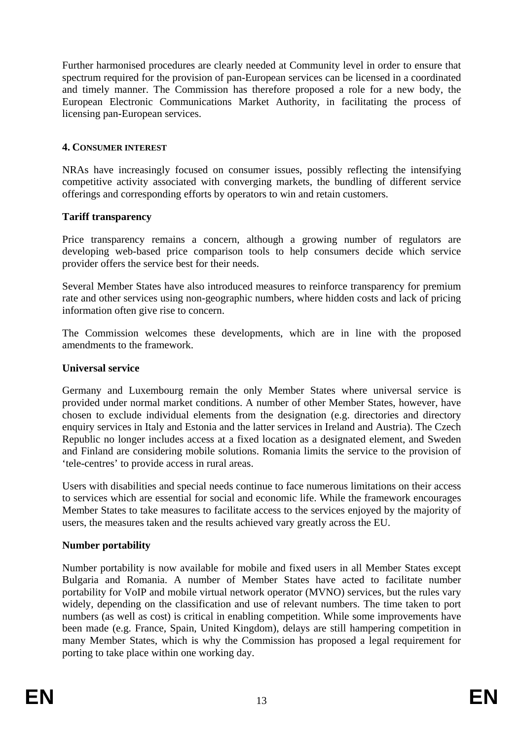Further harmonised procedures are clearly needed at Community level in order to ensure that spectrum required for the provision of pan-European services can be licensed in a coordinated and timely manner. The Commission has therefore proposed a role for a new body, the European Electronic Communications Market Authority, in facilitating the process of licensing pan-European services.

## **4. CONSUMER INTEREST**

NRAs have increasingly focused on consumer issues, possibly reflecting the intensifying competitive activity associated with converging markets, the bundling of different service offerings and corresponding efforts by operators to win and retain customers.

## **Tariff transparency**

Price transparency remains a concern, although a growing number of regulators are developing web-based price comparison tools to help consumers decide which service provider offers the service best for their needs.

Several Member States have also introduced measures to reinforce transparency for premium rate and other services using non-geographic numbers, where hidden costs and lack of pricing information often give rise to concern.

The Commission welcomes these developments, which are in line with the proposed amendments to the framework.

# **Universal service**

Germany and Luxembourg remain the only Member States where universal service is provided under normal market conditions. A number of other Member States, however, have chosen to exclude individual elements from the designation (e.g. directories and directory enquiry services in Italy and Estonia and the latter services in Ireland and Austria). The Czech Republic no longer includes access at a fixed location as a designated element, and Sweden and Finland are considering mobile solutions. Romania limits the service to the provision of 'tele-centres' to provide access in rural areas.

Users with disabilities and special needs continue to face numerous limitations on their access to services which are essential for social and economic life. While the framework encourages Member States to take measures to facilitate access to the services enjoyed by the majority of users, the measures taken and the results achieved vary greatly across the EU.

## **Number portability**

Number portability is now available for mobile and fixed users in all Member States except Bulgaria and Romania. A number of Member States have acted to facilitate number portability for VoIP and mobile virtual network operator (MVNO) services, but the rules vary widely, depending on the classification and use of relevant numbers. The time taken to port numbers (as well as cost) is critical in enabling competition. While some improvements have been made (e.g. France, Spain, United Kingdom), delays are still hampering competition in many Member States, which is why the Commission has proposed a legal requirement for porting to take place within one working day.